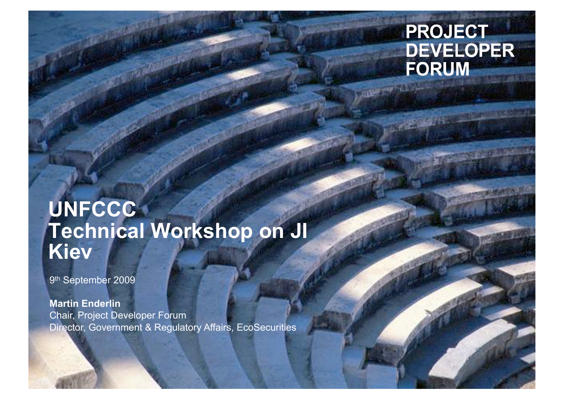# **PROJECT DEVELOPER FORUM**

# **UNFCCC Technical Workshop on JI Kiev**

9th September 2009

**Martin Enderlin** Chair, Project Developer Forum Director, Government & Regulatory Affairs, EcoSecurities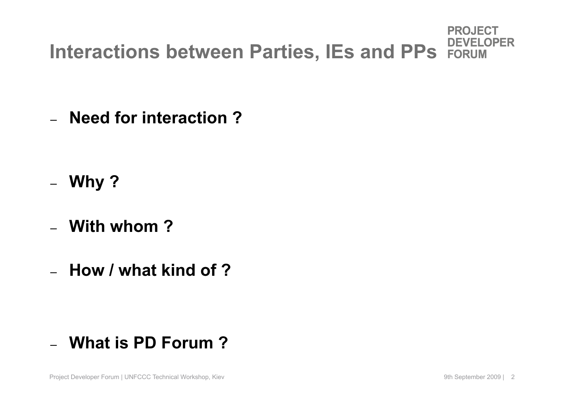#### **PROJECT OPER DEVEL Interactions between Parties, IEs and PPs FORUM**

– **Need for interaction ?** 

- **Why ?**
- **With whom ?**
- **How / what kind of ?**

# – **What is PD Forum ?**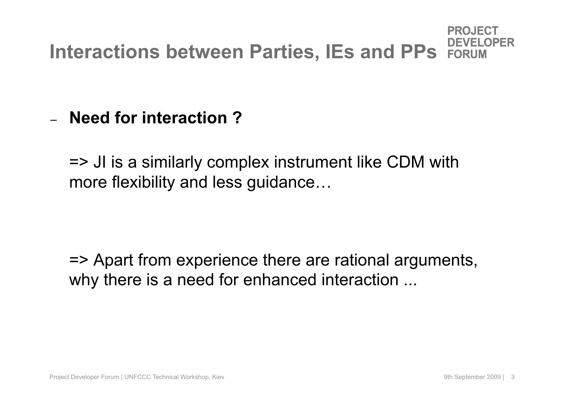# **Interactions between Parties, IEs and PPs FORLIN**

– **Need for interaction ?** 

=> JI is a similarly complex instrument like CDM with more flexibility and less guidance…

=> Apart from experience there are rational arguments, why there is a need for enhanced interaction ...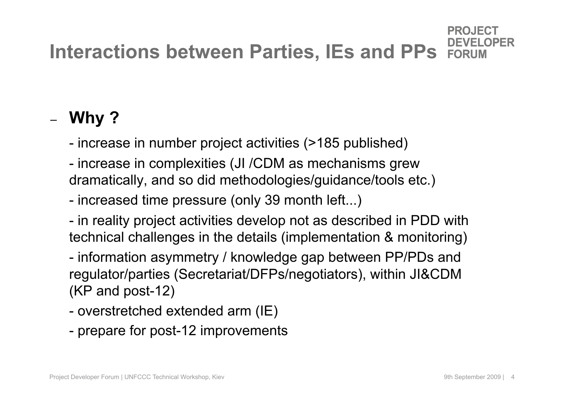## **Interactions between Parties, IEs and PPs FORLIN**

# – **Why ?**

- increase in number project activities (>185 published)

- increase in complexities (JI /CDM as mechanisms grew dramatically, and so did methodologies/guidance/tools etc.)
- increased time pressure (only 39 month left...)
- in reality project activities develop not as described in PDD with technical challenges in the details (implementation & monitoring)
- information asymmetry / knowledge gap between PP/PDs and regulator/parties (Secretariat/DFPs/negotiators), within JI&CDM (KP and post-12)
- overstretched extended arm (IE)
- prepare for post-12 improvements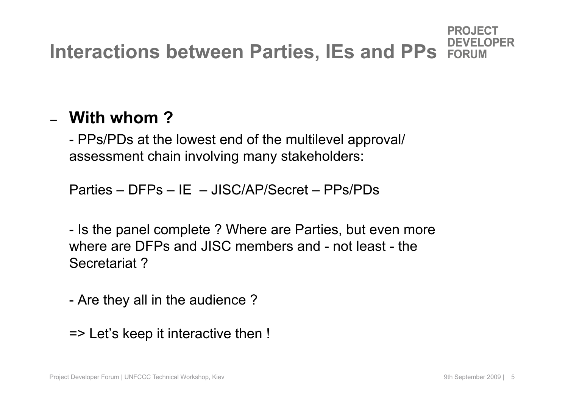# **Interactions between Parties, IEs and PPs FORLIM**

# – **With whom ?**

- PPs/PDs at the lowest end of the multilevel approval/ assessment chain involving many stakeholders:

Parties – DFPs – IE – JISC/AP/Secret – PPs/PDs

- Is the panel complete ? Where are Parties, but even more where are DFPs and JISC members and - not least - the Secretariat ?

- Are they all in the audience ?

=> Let's keep it interactive then !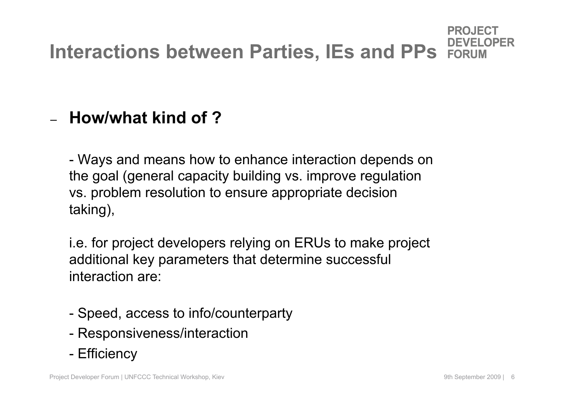# **Interactions between Parties, IEs and PPs FORLIM**

# – **How/what kind of ?**

- Ways and means how to enhance interaction depends on the goal (general capacity building vs. improve regulation vs. problem resolution to ensure appropriate decision taking),

i.e. for project developers relying on ERUs to make project additional key parameters that determine successful interaction are:

- Speed, access to info/counterparty
- Responsiveness/interaction
- Efficiency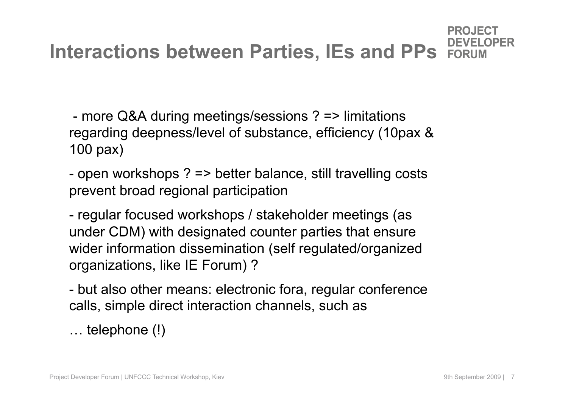#### **Interactions between Parties, IEs and PPs FORLIN**

 - more Q&A during meetings/sessions ? => limitations regarding deepness/level of substance, efficiency (10pax & 100 pax)

- open workshops ? => better balance, still travelling costs prevent broad regional participation

- regular focused workshops / stakeholder meetings (as under CDM) with designated counter parties that ensure wider information dissemination (self regulated/organized organizations, like IE Forum) ?

- but also other means: electronic fora, regular conference calls, simple direct interaction channels, such as

… telephone (!)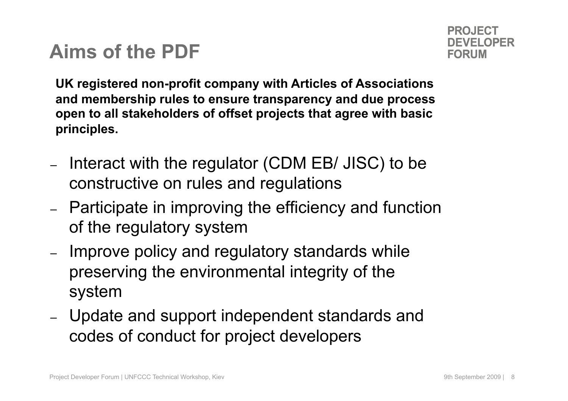# **Aims of the PDF**

**UK registered non-profit company with Articles of Associations and membership rules to ensure transparency and due process open to all stakeholders of offset projects that agree with basic principles.**

- Interact with the regulator (CDM EB/ JISC) to be constructive on rules and regulations
- Participate in improving the efficiency and function of the regulatory system
- Improve policy and regulatory standards while preserving the environmental integrity of the system
- Update and support independent standards and codes of conduct for project developers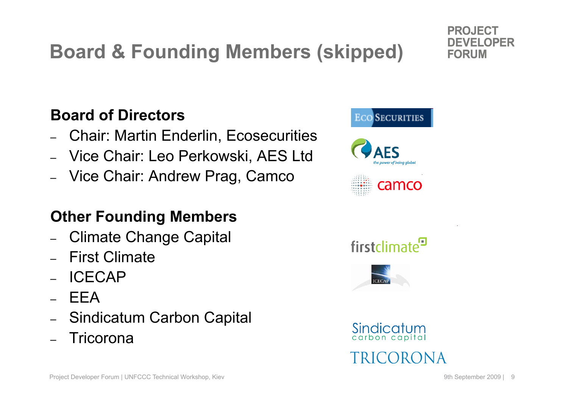# **Board & Founding Members (skipped)**

#### **Board of Directors**

- Chair: Martin Enderlin, Ecosecurities
- Vice Chair: Leo Perkowski, AES Ltd
- Vice Chair: Andrew Prag, Camco

## **Other Founding Members**

- Climate Change Capital
- First Climate
- ICECAP
- EEA
- Sindicatum Carbon Capital
- Tricorona



PROJECT

DEVEL **FORUM** 

OPFR